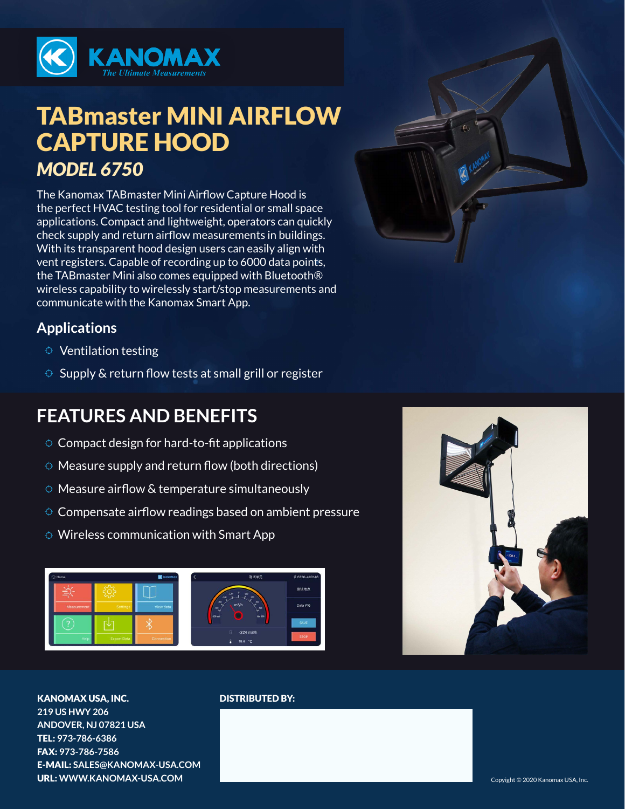

# TABmaster MINI AIRFLOW CAPTURE HOOD *MODEL 6750*

The Kanomax TABmaster Mini Airflow Capture Hood is the perfect HVAC testing tool for residential or small space applications. Compact and lightweight, operators can quickly check supply and return airflow measurements in buildings. With its transparent hood design users can easily align with vent registers. Capable of recording up to 6000 data points, the TABmaster Mini also comes equipped with Bluetooth® wireless capability to wirelessly start/stop measurements and communicate with the Kanomax Smart App.

#### **Applications**

- $\Diamond$  Ventilation testing
- $\Diamond$  Supply & return flow tests at small grill or register

### **FEATURES AND BENEFITS**

- $\Diamond$  Compact design for hard-to-fit applications
- $\Diamond$  Measure supply and return flow (both directions)
- $\Diamond$  Measure airflow & temperature simultaneously
- $\Diamond$  Compensate airflow readings based on ambient pressure
- $\Diamond$  Wireless communication with Smart App





KANOMAX USA, INC. **219 US HWY 206 ANDOVER, NJ 07821 USA** TEL: **973-786-6386** FAX: **973-786-7586** E-MAIL: **SALES@KANOMAX-USA.COM** URL: **WWW.KANOMAX-USA.COM** Copyight © 2020 Kanomax USA, Inc.

#### DISTRIBUTED BY: